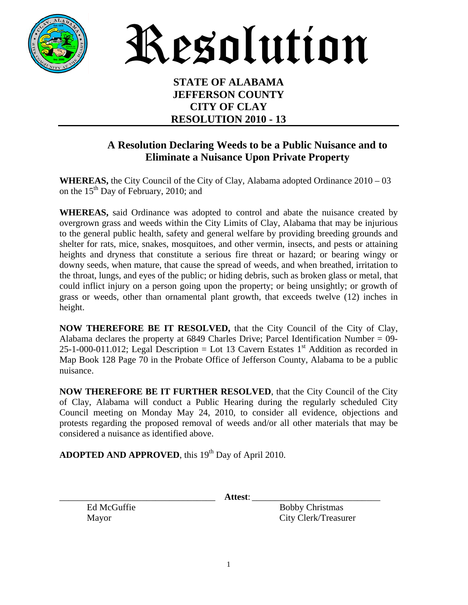

Resolution

## **STATE OF ALABAMA JEFFERSON COUNTY CITY OF CLAY RESOLUTION 2010 - 13**

## **A Resolution Declaring Weeds to be a Public Nuisance and to Eliminate a Nuisance Upon Private Property**

**WHEREAS,** the City Council of the City of Clay, Alabama adopted Ordinance 2010 – 03 on the  $15<sup>th</sup>$  Day of February, 2010; and

**WHEREAS,** said Ordinance was adopted to control and abate the nuisance created by overgrown grass and weeds within the City Limits of Clay, Alabama that may be injurious to the general public health, safety and general welfare by providing breeding grounds and shelter for rats, mice, snakes, mosquitoes, and other vermin, insects, and pests or attaining heights and dryness that constitute a serious fire threat or hazard; or bearing wingy or downy seeds, when mature, that cause the spread of weeds, and when breathed, irritation to the throat, lungs, and eyes of the public; or hiding debris, such as broken glass or metal, that could inflict injury on a person going upon the property; or being unsightly; or growth of grass or weeds, other than ornamental plant growth, that exceeds twelve (12) inches in height.

**NOW THEREFORE BE IT RESOLVED,** that the City Council of the City of Clay, Alabama declares the property at 6849 Charles Drive; Parcel Identification Number = 09- 25-1-000-011.012; Legal Description = Lot 13 Cavern Estates  $1<sup>st</sup>$  Addition as recorded in Map Book 128 Page 70 in the Probate Office of Jefferson County, Alabama to be a public nuisance.

**NOW THEREFORE BE IT FURTHER RESOLVED**, that the City Council of the City of Clay, Alabama will conduct a Public Hearing during the regularly scheduled City Council meeting on Monday May 24, 2010, to consider all evidence, objections and protests regarding the proposed removal of weeds and/or all other materials that may be considered a nuisance as identified above.

**ADOPTED AND APPROVED**, this 19<sup>th</sup> Day of April 2010.

\_\_\_\_\_\_\_\_\_\_\_\_\_\_\_\_\_\_\_\_\_\_\_\_\_\_\_\_\_\_\_\_\_\_ **Attest**: \_\_\_\_\_\_\_\_\_\_\_\_\_\_\_\_\_\_\_\_\_\_\_\_\_\_\_\_

Ed McGuffie Bobby Christmas Mayor City Clerk/Treasurer